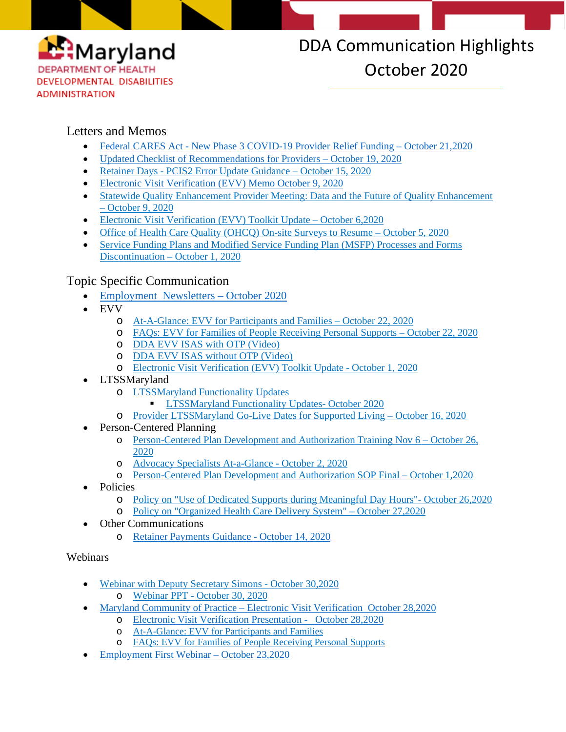

# DDA Communication Highlights October 2020

#### Letters and Memos

- Federal CARES Act [New Phase 3 COVID-19 Provider Relief Funding –](https://conta.cc/3ox2PJh) October 21,2020
- [Updated Checklist of Recommendations for Providers –](https://conta.cc/35d46wn) October 19, 2020
- Retainer Days [PCIS2 Error Update Guidance –](https://conta.cc/3k3fnWk) October 15, 2020
- [Electronic Visit Verification \(EVV\) Memo October 9, 2020](https://myemail.constantcontact.com/Electronic-Visit-Verification--EVV-.html?soid=1117796634703&aid=yvkd6I-1SuA)
- Statewide Quality Enhancement Provider Meeting: Data and the Future of Quality Enhancement – [October 9, 2020](https://conta.cc/3iKMUDm)
- [Electronic Visit Verification \(EVV\) Toolkit Update –](https://conta.cc/33DeEW9) October 6,2020
- [Office of Health Care Quality \(OHCQ\) On-site Surveys to Resume –](https://conta.cc/30wQavC) October 5, 2020
- [Service Funding Plans and Modified Service Funding Plan \(MSFP\) Processes and Forms](https://conta.cc/3cRZSO3)  [Discontinuation –](https://conta.cc/3cRZSO3) October 1, 2020

### Topic Specific Communication

- [Employment Newsletters](https://conta.cc/2HnuITu) October 202[0](https://conta.cc/2HnuITu)
- EVV
	- o [At-A-Glance: EVV for Participants and Families –](https://dda.health.maryland.gov/Documents/EVV/10.22.20/At-A-Glance_EVV%20for%20Families.pdf) October 22, 2020
	- o FAQs: [EVV for Families of People Receiving Personal Supports](https://dda.health.maryland.gov/Documents/EVV/10.22.20/DDA%20FAQs%20for%20Families_10.22.20.pdf) October 22, 2020
	- o [DDA EVV ISAS with OTP \(Video\)](https://www.youtube.com/watch?v=ckWBUL96u3s&feature=youtu.be)
	- o [DDA EVV ISAS without OTP \(Video\)](https://www.youtube.com/watch?v=avMykba9uD8&feature=youtu.be)
	- o [Electronic Visit Verification \(EVV\) Toolkit Update -](https://myemail.constantcontact.com/Electronic-Visit-Verification--EVV--Toolkit-Update.html?soid=1117796634703&aid=4b9CLG7cIwg) October 1, 2020
- LTSSMaryland
	- o [LTSSMaryland Functionality Updates](https://dda.health.maryland.gov/Pages/LTSSMaryland_Functionality_Updates.aspx)
		- **[LTSSMaryland Functionality Updates-](https://dda.health.maryland.gov/Documents/LTSS%20Page/Functionality%20Updates/DDA%20LTSSMaryland%20Functionality%20Updates-%20Oct%202020.pdf) October 2020**
	- o [Provider LTSSMaryland Go-Live Dates for Supported Living](https://dda.health.maryland.gov/Documents/EVV/10.16.20/Provider%20LTSSMaryland%20Go%20Live%20Dates%20for%20Supported%20Living%20(10.16.20).pdf) October 16, 2020
- Person-Centered Planning
	- o Person-Centered Plan Development [and Authorization Training Nov 6 –](https://conta.cc/34uUrlF) October 26, [2020](https://conta.cc/34uUrlF)
	- o [Advocacy Specialists At-a-Glance -](https://dda.health.maryland.gov/Documents/Person-Centered%20Planning/10.07.20/Advocacy%20Specialists%20At%20a%20Glance.pdf) October 2, 2020
	- o [Person-Centered Plan Development and Authorization SOP Final –](https://dda.health.maryland.gov/Documents/Person-Centered%20Planning/10.01.20/DDA%20-%20PCP%20Development%20and%20Authorization%20SOP%20Final%20-%202020-10-01.pdf) October 1,2020
- Policies
	- o [Policy on "Use of Dedicated Supports during Meaningful](https://conta.cc/3oD5pxw) Day Hours"- October 26,2020
	- o [Policy on "Organized Health Care Delivery System"](https://conta.cc/3mqDuiq) October 27,2020
- **Other Communications** 
	- o [Retainer Payments Guidance -](https://dda.health.maryland.gov/Documents/COVID%2019%20Documents/Memos%20Guidance/10.15.20/Retainer%20Payments%20Guidance%2010-14-20.pdf) October 14, 2020

#### Webinars

- [Webinar with Deputy Secretary Simons -](https://www.youtube.com/watch?v=vhZEheGXwvc&feature=youtu.be) October 30,2020
	- o Webinar PPT [October 30, 2020](https://dda.health.maryland.gov/Documents/COVID%2019%20Documents/Dep%20Sec%20Webinars/Webinar%20DDA%20Deputy%20Secretary%20FINAL%20BS%2010.30.20%20.pdf)
- Maryland Community of Practice [Electronic Visit Verification October 28,2020](https://youtu.be/x0Ywt4bUWBI)
	- o [Electronic Visit Verification Presentation October 28,2020](https://dda.health.maryland.gov/Documents/COVID%2019%20Documents/Information%20for%20People%20and%20Families/Community%20of%20Practice/10.30.20/The_Final%20EVV%20PPT%2010-28-20.pdf)
		- o [At-A-Glance: EVV for Participants and Families](https://dda.health.maryland.gov/Documents/EVV/10.22.20/At-A-Glance_EVV%20for%20Families.pdf)
		- o FAQs: [EVV for Families of People Receiving Personal Supports](https://dda.health.maryland.gov/Documents/EVV/10.22.20/DDA%20FAQs%20for%20Families_10.22.20.pdf)
- Employment First Webinar [October 23,2020](https://youtu.be/f4p1VUiTb14)